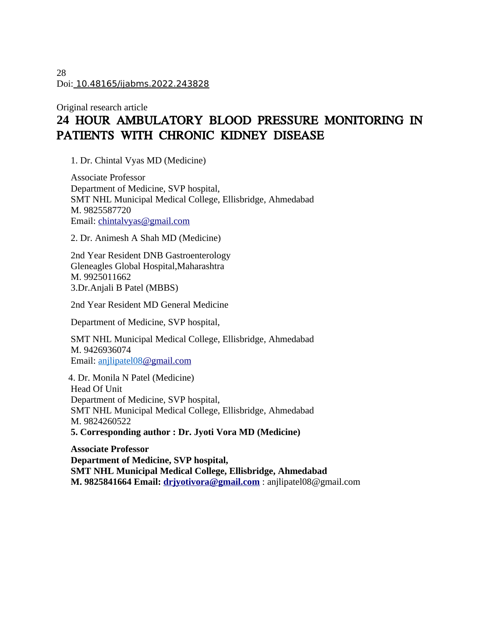28 Doi: 10.48165/ijabms.2022.243828

# Original research article **24** HOUR AMBULATORY BLOOD PRESSURE MONITORING IN PATIENTS WITH CHRONIC KIDNEY DISEASE

1. Dr. Chintal Vyas MD (Medicine)

Associate Professor Department of Medicine, SVP hospital, SMT NHL Municipal Medical College, Ellisbridge, Ahmedabad M. 9825587720 Email: [chintalvyas@gmail.com](mailto:chintalvyas@gmail.com)

2. Dr. Animesh A Shah MD (Medicine)

2nd Year Resident DNB Gastroenterology Gleneagles Global Hospital,Maharashtra M. 9925011662 3.Dr.Anjali B Patel (MBBS)

2nd Year Resident MD General Medicine

Department of Medicine, SVP hospital,

SMT NHL Municipal Medical College, Ellisbridge, Ahmedabad M. 9426936074 Email: anjlipatel08@gmail.com

 4. Dr. Monila N Patel (Medicine) Head Of Unit Department of Medicine, SVP hospital, SMT NHL Municipal Medical College, Ellisbridge, Ahmedabad M. 9824260522 **5. Corresponding author : Dr. Jyoti Vora MD (Medicine)**

**Associate Professor Department of Medicine, SVP hospital, SMT NHL Municipal Medical College, Ellisbridge, Ahmedabad M. 9825841664 Email: [drjyotivora@gmail.com](mailto:drjyotivora@gmail.com)** : anjlipatel08@gmail.com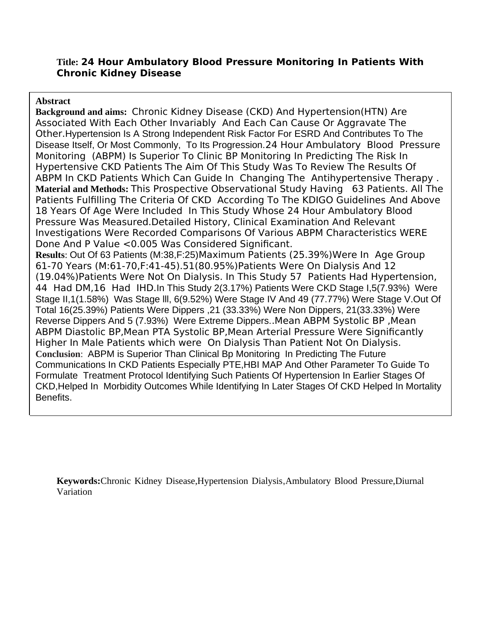### **Title: 24 Hour Ambulatory Blood Pressure Monitoring In Patients With Chronic Kidney Disease**

#### **Abstract**

**Background and aims:** Chronic Kidney Disease (CKD) And Hypertension(HTN) Are Associated With Each Other Invariably And Each Can Cause Or Aggravate The Other.Hypertension Is A Strong Independent Risk Factor For ESRD And Contributes To The Disease Itself, Or Most Commonly, To Its Progression.24 Hour Ambulatory Blood Pressure Monitoring (ABPM) Is Superior To Clinic BP Monitoring In Predicting The Risk In Hypertensive CKD Patients The Aim Of This Study Was To Review The Results Of ABPM In CKD Patients Which Can Guide In Changing The Antihypertensive Therapy . **Material and Methods:** This Prospective Observational Study Having 63 Patients. All The Patients Fulfilling The Criteria Of CKD According To The KDIGO Guidelines And Above 18 Years Of Age Were Included In This Study Whose 24 Hour Ambulatory Blood Pressure Was Measured.Detailed History, Clinical Examination And Relevant Investigations Were Recorded Comparisons Of Various ABPM Characteristics WERE Done And P Value <0.005 Was Considered Significant. **Results**: Out Of 63 Patients (M:38,F:25)Maximum Patients (25.39%)Were In Age Group 61-70 Years (M:61-70,F:41-45).51(80.95%)Patients Were On Dialysis And 12 (19.04%)Patients Were Not On Dialysis. In This Study 57 Patients Had Hypertension, 44 Had DM,16 Had IHD.In This Study 2(3.17%) Patients Were CKD Stage I,5(7.93%) Were Stage II,1(1.58%) Was Stage lll, 6(9.52%) Were Stage IV And 49 (77.77%) Were Stage V.Out Of Total 16(25.39%) Patients Were Dippers ,21 (33.33%) Were Non Dippers, 21(33.33%) Were Reverse Dippers And 5 (7.93%) Were Extreme Dippers..Mean ABPM Systolic BP ,Mean ABPM Diastolic BP,Mean PTA Systolic BP,Mean Arterial Pressure Were Significantly Higher In Male Patients which were On Dialysis Than Patient Not On Dialysis. **Conclusion**: ABPM is Superior Than Clinical Bp Monitoring In Predicting The Future Communications In CKD Patients Especially PTE,HBI MAP And Other Parameter To Guide To Formulate Treatment Protocol Identifying Such Patients Of Hypertension In Earlier Stages Of CKD,Helped In Morbidity Outcomes While Identifying In Later Stages Of CKD Helped In Mortality Benefits.

**Keywords:**Chronic Kidney Disease,Hypertension Dialysis,Ambulatory Blood Pressure,Diurnal Variation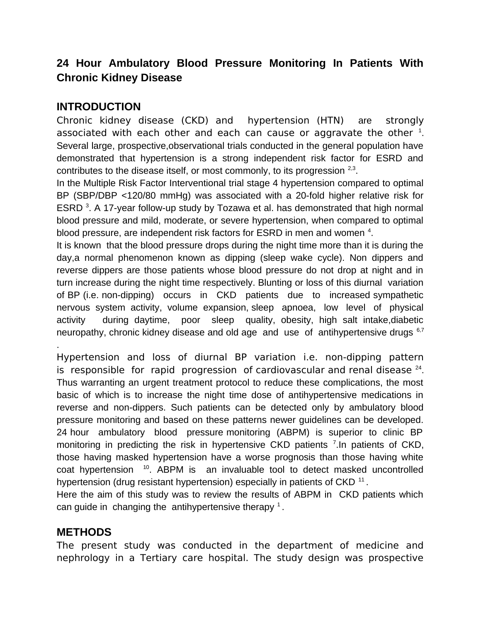# **24 Hour Ambulatory Blood Pressure Monitoring In Patients With Chronic Kidney Disease**

# **INTRODUCTION**

Chronic kidney disease (CKD) and hypertension (HTN) are strongly associated with each other and each can cause or aggravate the other  $^1$ . Several large, prospective,observational trials conducted in the general population have demonstrated that hypertension is a strong independent risk factor for ESRD and contributes to the disease itself, or most commonly, to its progression  $2.3$ .

In the Multiple Risk Factor Interventional trial stage 4 hypertension compared to optimal BP (SBP/DBP <120/80 mmHg) was associated with a 20-fold higher relative risk for ESRD  $3$ . A 17-year follow-up study by Tozawa et al. has demonstrated that high normal blood pressure and mild, moderate, or severe hypertension, when compared to optimal blood pressure, are independent risk factors for ESRD in men and women  $4$ .

It is known that the blood pressure drops during the night time more than it is during the day,a normal phenomenon known as dipping (sleep wake cycle). Non dippers and reverse dippers are those patients whose blood pressure do not drop at night and in turn increase during the night time respectively. Blunting or loss of this diurnal variation of BP (i.e. non-dipping) occurs in CKD patients due to increased sympathetic nervous system activity, volume expansion, sleep apnoea, low level of physical activity during daytime, poor sleep quality, obesity, high salt intake,diabetic neuropathy, chronic kidney disease and old age and use of antihypertensive drugs  $6.7$ 

Hypertension and loss of diurnal BP variation i.e. non-dipping pattern is responsible for rapid progression of cardiovascular and renal disease  $24$ . Thus warranting an urgent treatment protocol to reduce these complications, the most basic of which is to increase the night time dose of antihypertensive medications in reverse and non-dippers. Such patients can be detected only by ambulatory blood pressure monitoring and based on these patterns newer guidelines can be developed. 24 hour ambulatory blood pressure monitoring (ABPM) is superior to clinic BP monitoring in predicting the risk in hypertensive CKD patients  $7$ . In patients of CKD, those having masked hypertension have a worse prognosis than those having white coat hypertension  $10$ . ABPM is an invaluable tool to detect masked uncontrolled hypertension (drug resistant hypertension) especially in patients of CKD  $^{\rm 11}$  .

Here the aim of this study was to review the results of ABPM in CKD patients which can guide in changing the antihypertensive therapy  $^1$ .

### **METHODS**

.

The present study was conducted in the department of medicine and nephrology in a Tertiary care hospital. The study design was prospective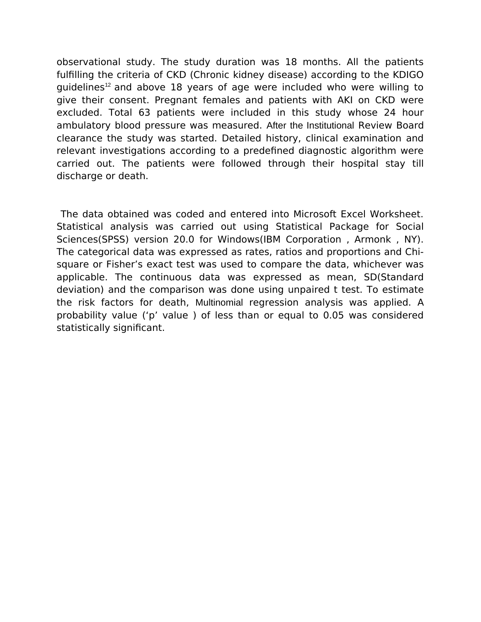observational study. The study duration was 18 months. All the patients fulfilling the criteria of CKD (Chronic kidney disease) according to the KDIGO guidelines<sup>12</sup> and above 18 years of age were included who were willing to give their consent. Pregnant females and patients with AKI on CKD were excluded. Total 63 patients were included in this study whose 24 hour ambulatory blood pressure was measured. After the Institutional Review Board clearance the study was started. Detailed history, clinical examination and relevant investigations according to a predefined diagnostic algorithm were carried out. The patients were followed through their hospital stay till discharge or death.

 The data obtained was coded and entered into Microsoft Excel Worksheet. Statistical analysis was carried out using Statistical Package for Social Sciences(SPSS) version 20.0 for Windows(IBM Corporation , Armonk , NY). The categorical data was expressed as rates, ratios and proportions and Chisquare or Fisher's exact test was used to compare the data, whichever was applicable. The continuous data was expressed as mean, SD(Standard deviation) and the comparison was done using unpaired t test. To estimate the risk factors for death, Multinomial regression analysis was applied. A probability value ('p' value ) of less than or equal to 0.05 was considered statistically significant.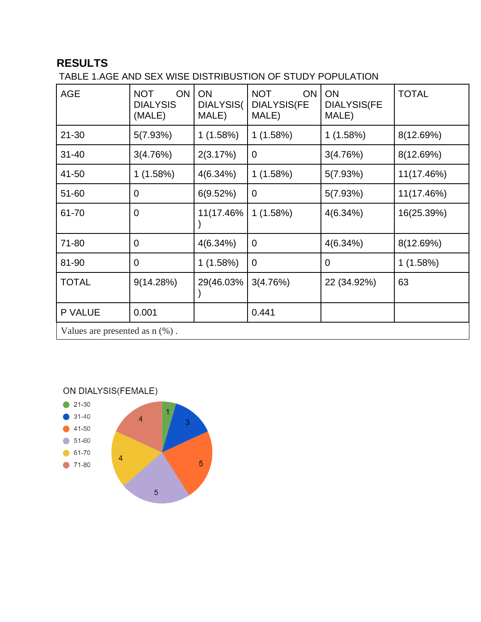# **RESULTS**

TABLE 1.AGE AND SEX WISE DISTRIBUSTION OF STUDY POPULATION

| <b>AGE</b>                       | ON<br><b>NOT</b><br><b>DIALYSIS</b><br>(MALE) | ON<br>DIALYSIS(<br>MALE) | <b>ON</b><br><b>NOT</b><br><b>DIALYSIS(FE</b><br>MALE) | ON<br><b>DIALYSIS(FE</b><br>MALE) | <b>TOTAL</b> |  |  |  |  |
|----------------------------------|-----------------------------------------------|--------------------------|--------------------------------------------------------|-----------------------------------|--------------|--|--|--|--|
| 21-30                            | 5(7.93%)                                      | 1(1.58%)                 | 1(1.58%)                                               | 1 (1.58%)                         | 8(12.69%)    |  |  |  |  |
| $31 - 40$                        | 3(4.76%)                                      | 2(3.17%)                 | 0                                                      | 3(4.76%)                          | 8(12.69%)    |  |  |  |  |
| 41-50                            | 1(1.58%)                                      | $4(6.34\%)$              | 1(1.58%)                                               | 5(7.93%)                          | 11(17.46%)   |  |  |  |  |
| 51-60                            | 0                                             | 6(9.52%)                 | 0                                                      | 5(7.93%)                          | 11(17.46%)   |  |  |  |  |
| 61-70                            | $\overline{0}$                                | 11(17.46%                | 1(1.58%)                                               | 4(6.34%)                          | 16(25.39%)   |  |  |  |  |
| 71-80                            | $\overline{0}$                                | 4(6.34%)                 | $\mathbf 0$                                            | 4(6.34%)                          | 8(12.69%)    |  |  |  |  |
| 81-90                            | $\overline{0}$                                | 1(1.58%)                 | $\mathbf 0$                                            | $\overline{0}$                    | 1(1.58%)     |  |  |  |  |
| <b>TOTAL</b>                     | 9(14.28%)                                     | 29(46.03%                | 3(4.76%)                                               | 22 (34.92%)                       | 63           |  |  |  |  |
| P VALUE                          | 0.001                                         |                          | 0.441                                                  |                                   |              |  |  |  |  |
| Values are presented as $n$ (%). |                                               |                          |                                                        |                                   |              |  |  |  |  |

ON DIALYSIS(FEMALE)

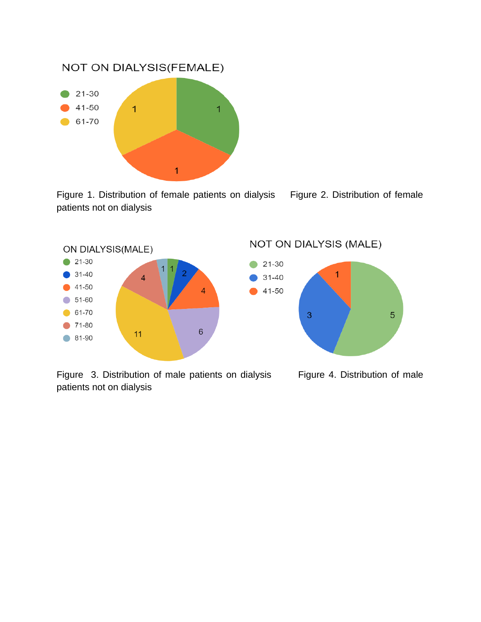

Figure 1. Distribution of female patients on dialysis Figure 2. Distribution of female patients not on dialysis



Figure 3. Distribution of male patients on dialysis Figure 4. Distribution of male patients not on dialysis

#### NOT ON DIALYSIS (MALE)

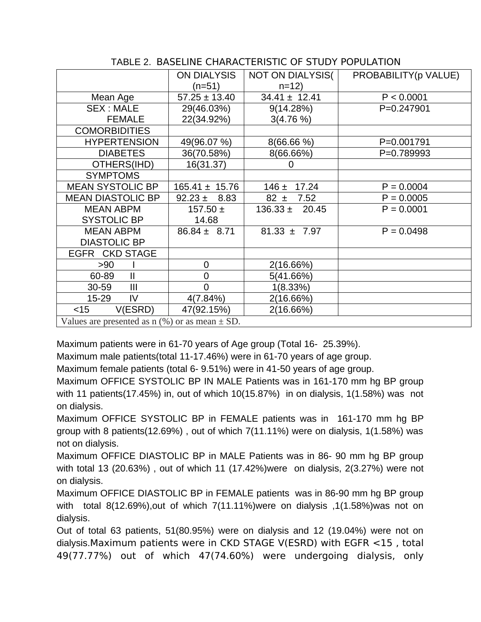|                                                      | <b>ON DIALYSIS</b><br>$(n=51)$ | NOT ON DIALYSIS(<br>$n=12$ | PROBABILITY(p VALUE) |  |  |  |  |  |  |
|------------------------------------------------------|--------------------------------|----------------------------|----------------------|--|--|--|--|--|--|
| Mean Age                                             | $57.25 \pm 13.40$              | $34.41 \pm 12.41$          | P < 0.0001           |  |  |  |  |  |  |
| <b>SEX: MALE</b>                                     | 29(46.03%)                     | 9(14.28%)                  | P=0.247901           |  |  |  |  |  |  |
| <b>FEMALE</b>                                        | 22(34.92%)                     | $3(4.76\%)$                |                      |  |  |  |  |  |  |
| <b>COMORBIDITIES</b>                                 |                                |                            |                      |  |  |  |  |  |  |
| <b>HYPERTENSION</b>                                  | 49(96.07 %)                    | $8(66.66\%)$               | P=0.001791           |  |  |  |  |  |  |
| <b>DIABETES</b>                                      | 36(70.58%)                     | 8(66.66%)                  | P=0.789993           |  |  |  |  |  |  |
| OTHERS(IHD)                                          | 16(31.37)                      | 0                          |                      |  |  |  |  |  |  |
| <b>SYMPTOMS</b>                                      |                                |                            |                      |  |  |  |  |  |  |
| <b>MEAN SYSTOLIC BP</b>                              | $165.41 \pm 15.76$             | 17.24<br>$146 +$           | $P = 0.0004$         |  |  |  |  |  |  |
| <b>MEAN DIASTOLIC BP</b>                             | $92.23 \pm 8.83$               | $82 \pm$<br>7.52           | $P = 0.0005$         |  |  |  |  |  |  |
| <b>MEAN ABPM</b>                                     | 157.50 $\pm$                   | $136.33 \pm 20.45$         | $P = 0.0001$         |  |  |  |  |  |  |
| <b>SYSTOLIC BP</b>                                   | 14.68                          |                            |                      |  |  |  |  |  |  |
| <b>MEAN ABPM</b>                                     | $86.84 \pm 8.71$               | $81.33 \pm 7.97$           | $P = 0.0498$         |  |  |  |  |  |  |
| <b>DIASTOLIC BP</b>                                  |                                |                            |                      |  |  |  |  |  |  |
| EGFR CKD STAGE                                       |                                |                            |                      |  |  |  |  |  |  |
| >90                                                  | 0                              | 2(16.66%)                  |                      |  |  |  |  |  |  |
| 60-89<br>$\mathbf{I}$                                | 0                              | 5(41.66%)                  |                      |  |  |  |  |  |  |
| $30 - 59$<br>$\mathbf{III}$                          | 0                              | 1(8.33%)                   |                      |  |  |  |  |  |  |
| 15-29<br>IV                                          | 4(7.84%)                       | 2(16.66%)                  |                      |  |  |  |  |  |  |
| V(ESRD)<br>$<$ 15                                    | 47(92.15%)                     | 2(16.66%)                  |                      |  |  |  |  |  |  |
| Values are presented as $p(0/2)$ or as mean $\pm$ CD |                                |                            |                      |  |  |  |  |  |  |

#### TABLE 2. BASELINE CHARACTERISTIC OF STUDY POPULATION

Values are presented as n (%) or as mean ± SD.

Maximum patients were in 61-70 years of Age group (Total 16- 25.39%).

Maximum male patients(total 11-17.46%) were in 61-70 years of age group.

Maximum female patients (total 6- 9.51%) were in 41-50 years of age group.

Maximum OFFICE SYSTOLIC BP IN MALE Patients was in 161-170 mm hg BP group with 11 patients(17.45%) in, out of which 10(15.87%) in on dialysis, 1(1.58%) was not on dialysis.

Maximum OFFICE SYSTOLIC BP in FEMALE patients was in 161-170 mm hg BP group with 8 patients(12.69%) , out of which 7(11.11%) were on dialysis, 1(1.58%) was not on dialysis.

Maximum OFFICE DIASTOLIC BP in MALE Patients was in 86- 90 mm hg BP group with total 13 (20.63%) , out of which 11 (17.42%)were on dialysis, 2(3.27%) were not on dialysis.

Maximum OFFICE DIASTOLIC BP in FEMALE patients was in 86-90 mm hg BP group with total 8(12.69%),out of which 7(11.11%)were on dialysis ,1(1.58%)was not on dialysis.

Out of total 63 patients, 51(80.95%) were on dialysis and 12 (19.04%) were not on dialysis.Maximum patients were in CKD STAGE V(ESRD) with EGFR <15 , total 49(77.77%) out of which 47(74.60%) were undergoing dialysis, only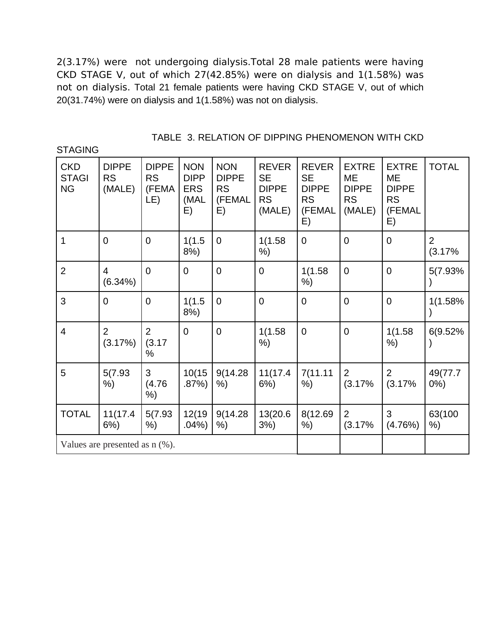2(3.17%) were not undergoing dialysis.Total 28 male patients were having CKD STAGE V, out of which 27(42.85%) were on dialysis and 1(1.58%) was not on dialysis. Total 21 female patients were having CKD STAGE V, out of which 20(31.74%) were on dialysis and 1(1.58%) was not on dialysis.

**STAGING** 

| <b>CKD</b><br><b>STAGI</b><br><b>NG</b> | <b>DIPPE</b><br><b>RS</b><br>(MALE) | <b>DIPPE</b><br><b>RS</b><br>(FEMA<br>LE) | <b>NON</b><br><b>DIPP</b><br><b>ERS</b><br>(MAL<br>E) | <b>NON</b><br><b>DIPPE</b><br><b>RS</b><br>(FEMAL<br>E) | <b>REVER</b><br><b>SE</b><br><b>DIPPE</b><br><b>RS</b><br>(MALE) | <b>REVER</b><br><b>SE</b><br><b>DIPPE</b><br><b>RS</b><br>(FEMAL<br>E) | <b>EXTRE</b><br><b>ME</b><br><b>DIPPE</b><br><b>RS</b><br>(MALE) | <b>EXTRE</b><br><b>ME</b><br><b>DIPPE</b><br><b>RS</b><br>(FEMAL<br>E) | <b>TOTAL</b>             |
|-----------------------------------------|-------------------------------------|-------------------------------------------|-------------------------------------------------------|---------------------------------------------------------|------------------------------------------------------------------|------------------------------------------------------------------------|------------------------------------------------------------------|------------------------------------------------------------------------|--------------------------|
| $\mathbf 1$                             | $\mathbf 0$                         | $\mathbf 0$                               | 1(1.5)<br>8%)                                         | $\mathbf 0$                                             | 1(1.58)<br>%)                                                    | $\overline{0}$                                                         | $\overline{0}$                                                   | $\mathbf 0$                                                            | $\overline{2}$<br>(3.17% |
| $\overline{2}$                          | $\overline{4}$<br>$(6.34\%)$        | $\Omega$                                  | $\overline{0}$                                        | $\overline{0}$                                          | $\mathbf 0$                                                      | 1(1.58)<br>%)                                                          | $\overline{0}$                                                   | $\mathbf 0$                                                            | 5(7.93%)                 |
| 3                                       | $\overline{0}$                      | $\overline{0}$                            | 1(1.5)<br>8%)                                         | $\overline{0}$                                          | $\overline{0}$                                                   | $\overline{0}$                                                         | $\overline{0}$                                                   | $\overline{0}$                                                         | 1(1.58%<br>$\mathcal{E}$ |
| $\overline{4}$                          | $\overline{2}$<br>(3.17%)           | 2<br>(3.17)<br>$\frac{0}{0}$              | $\overline{0}$                                        | $\Omega$                                                | 1(1.58)<br>%)                                                    | $\Omega$                                                               | $\overline{0}$                                                   | 1(1.58)<br>%)                                                          | 6(9.52%                  |
| 5                                       | 5(7.93)<br>%)                       | 3<br>(4.76)<br>%)                         | 10(15)<br>.87%                                        | 9(14.28)<br>%)                                          | 11(17.4<br>6%)                                                   | 7(11.11)<br>%)                                                         | 2<br>(3.17%                                                      | $\overline{2}$<br>(3.17%                                               | 49(77.7<br>$0\%$ )       |
| <b>TOTAL</b>                            | 11(17.4<br>$6%$ )                   | 5(7.93)<br>$%$ )                          | 12(19)<br>.04%                                        | 9(14.28)<br>%)                                          | 13(20.6<br>$3%$ )                                                | 8(12.69<br>%)                                                          | $\overline{2}$<br>(3.17%                                         | 3<br>(4.76%)                                                           | 63(100<br>%)             |
| Values are presented as $n$ (%).        |                                     |                                           |                                                       |                                                         |                                                                  |                                                                        |                                                                  |                                                                        |                          |

TABLE 3. RELATION OF DIPPING PHENOMENON WITH CKD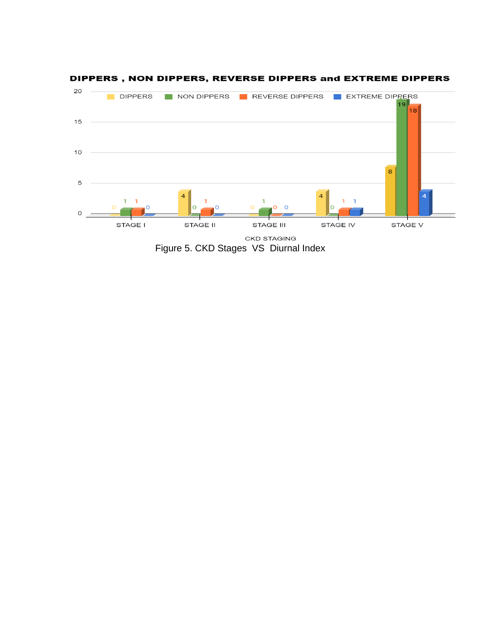

#### DIPPERS, NON DIPPERS, REVERSE DIPPERS and EXTREME DIPPERS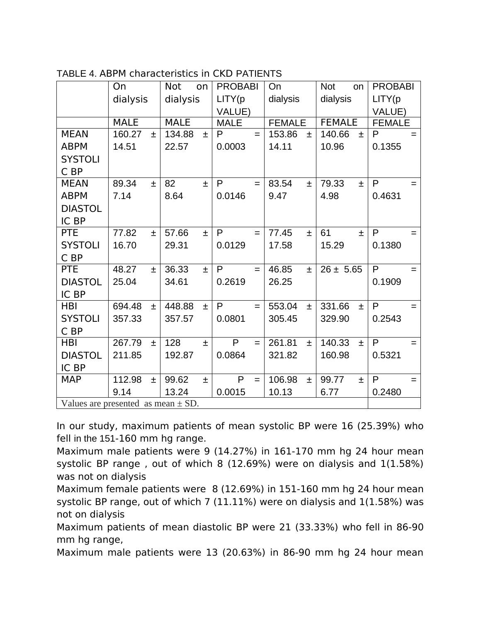|                                        | On          |       | <b>Not</b><br>on |       | <b>PROBABI</b> |          | On       |               | <b>Not</b><br>on |               | <b>PROBABI</b> |               |  |
|----------------------------------------|-------------|-------|------------------|-------|----------------|----------|----------|---------------|------------------|---------------|----------------|---------------|--|
|                                        | dialysis    |       | dialysis         |       | LITY(p         |          | dialysis |               | dialysis         |               | LITY(p         |               |  |
|                                        |             |       |                  |       | VALUE)         |          |          |               |                  |               | VALUE)         |               |  |
|                                        | <b>MALE</b> |       | <b>MALE</b>      |       | <b>MALE</b>    |          |          | <b>FEMALE</b> |                  | <b>FEMALE</b> |                | <b>FEMALE</b> |  |
| <b>MEAN</b>                            | 160.27      | 土     | 134.88           | $+$   | P              | $=$      | 153.86   | $\pm$         | 140.66           | $\pm$         | P              | $=$           |  |
| <b>ABPM</b>                            | 14.51       |       | 22.57            |       | 0.0003         |          | 14.11    |               | 10.96            |               | 0.1355         |               |  |
| <b>SYSTOLI</b>                         |             |       |                  |       |                |          |          |               |                  |               |                |               |  |
| C BP                                   |             |       |                  |       |                |          |          |               |                  |               |                |               |  |
| <b>MEAN</b>                            | 89.34       | $\pm$ | 82               | $\pm$ | P              | $\equiv$ | 83.54    | $\pm$         | 79.33            | $\pm$         | P              | $=$           |  |
| <b>ABPM</b>                            | 7.14        |       | 8.64             |       | 0.0146         |          | 9.47     |               | 4.98             |               | 0.4631         |               |  |
| <b>DIASTOL</b>                         |             |       |                  |       |                |          |          |               |                  |               |                |               |  |
| IC BP                                  |             |       |                  |       |                |          |          |               |                  |               |                |               |  |
| <b>PTE</b>                             | 77.82       | $\pm$ | 57.66            | $\pm$ | $\mathsf{P}$   | $=$      | 77.45    | $\pm$         | 61               | $\pm$         | $\mathsf{P}$   | $=$           |  |
| <b>SYSTOLI</b>                         | 16.70       |       | 29.31            |       | 0.0129         |          | 17.58    |               | 15.29            |               | 0.1380         |               |  |
| C BP                                   |             |       |                  |       |                |          |          |               |                  |               |                |               |  |
| <b>PTE</b>                             | 48.27       | $\pm$ | 36.33            | $\pm$ | P              | $=$      | 46.85    | $\pm$         | $26 \pm 5.65$    |               | $\mathsf{P}$   | $=$           |  |
| <b>DIASTOL</b>                         | 25.04       |       | 34.61            |       | 0.2619         |          | 26.25    |               |                  |               | 0.1909         |               |  |
| IC BP                                  |             |       |                  |       |                |          |          |               |                  |               |                |               |  |
| <b>HBI</b>                             | 694.48      | $\pm$ | 448.88           | $\pm$ | P              | $=$      | 553.04   | $\pm$         | 331.66           | $\pm$         | P              | $=$           |  |
| <b>SYSTOLI</b>                         | 357.33      |       | 357.57           |       | 0.0801         |          | 305.45   |               | 329.90           |               | 0.2543         |               |  |
| C BP                                   |             |       |                  |       |                |          |          |               |                  |               |                |               |  |
| <b>HBI</b>                             | 267.79      | $\pm$ | 128              | $\pm$ | $\mathsf{P}$   | $=$      | 261.81   | $\pm$         | 140.33           | $\pm$         | $\mathsf{P}$   | $=$           |  |
| <b>DIASTOL</b>                         | 211.85      |       | 192.87           |       | 0.0864         |          | 321.82   |               | 160.98           |               | 0.5321         |               |  |
| IC BP                                  |             |       |                  |       |                |          |          |               |                  |               |                |               |  |
| <b>MAP</b>                             | 112.98      | $\pm$ | 99.62            | $\pm$ | P              | $=$      | 106.98   | $\pm$         | 99.77            | $\pm$         | P              | Ξ             |  |
|                                        | 9.14        |       | 13.24            |       | 0.0015         |          | 10.13    |               | 6.77             |               | 0.2480         |               |  |
| Values are presented as mean $\pm$ SD. |             |       |                  |       |                |          |          |               |                  |               |                |               |  |

TABLE 4. ABPM characteristics in CKD PATIENTS

In our study, maximum patients of mean systolic BP were 16 (25.39%) who fell in the 151-160 mm hg range.

Maximum male patients were 9 (14.27%) in 161-170 mm hg 24 hour mean systolic BP range , out of which 8 (12.69%) were on dialysis and 1(1.58%) was not on dialysis

Maximum female patients were 8 (12.69%) in 151-160 mm hg 24 hour mean systolic BP range, out of which 7 (11.11%) were on dialysis and 1(1.58%) was not on dialysis

Maximum patients of mean diastolic BP were 21 (33.33%) who fell in 86-90 mm hg range,

Maximum male patients were 13 (20.63%) in 86-90 mm hg 24 hour mean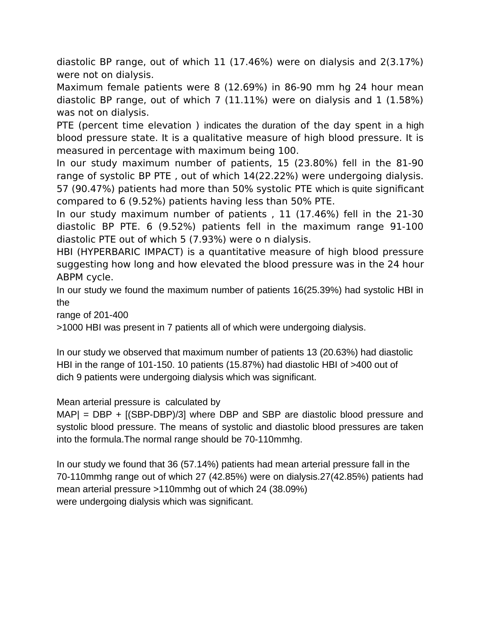diastolic BP range, out of which 11 (17.46%) were on dialysis and 2(3.17%) were not on dialysis.

Maximum female patients were 8 (12.69%) in 86-90 mm hg 24 hour mean diastolic BP range, out of which 7 (11.11%) were on dialysis and 1 (1.58%) was not on dialysis.

PTE (percent time elevation ) indicates the duration of the day spent in a high blood pressure state. It is a qualitative measure of high blood pressure. It is measured in percentage with maximum being 100.

In our study maximum number of patients, 15 (23.80%) fell in the 81-90 range of systolic BP PTE , out of which 14(22.22%) were undergoing dialysis. 57 (90.47%) patients had more than 50% systolic PTE which is quite significant compared to 6 (9.52%) patients having less than 50% PTE.

In our study maximum number of patients , 11 (17.46%) fell in the 21-30 diastolic BP PTE. 6 (9.52%) patients fell in the maximum range 91-100 diastolic PTE out of which 5 (7.93%) were o n dialysis.

HBI (HYPERBARIC IMPACT) is a quantitative measure of high blood pressure suggesting how long and how elevated the blood pressure was in the 24 hour ABPM cycle.

In our study we found the maximum number of patients 16(25.39%) had systolic HBI in the

range of 201-400

>1000 HBI was present in 7 patients all of which were undergoing dialysis.

In our study we observed that maximum number of patients 13 (20.63%) had diastolic HBI in the range of 101-150. 10 patients (15.87%) had diastolic HBI of >400 out of dich 9 patients were undergoing dialysis which was significant.

Mean arterial pressure is calculated by

MAP| = DBP + [(SBP-DBP)/3] where DBP and SBP are diastolic blood pressure and systolic blood pressure. The means of systolic and diastolic blood pressures are taken into the formula.The normal range should be 70-110mmhg.

In our study we found that 36 (57.14%) patients had mean arterial pressure fall in the 70-110mmhg range out of which 27 (42.85%) were on dialysis.27(42.85%) patients had mean arterial pressure >110mmhg out of which 24 (38.09%) were undergoing dialysis which was significant.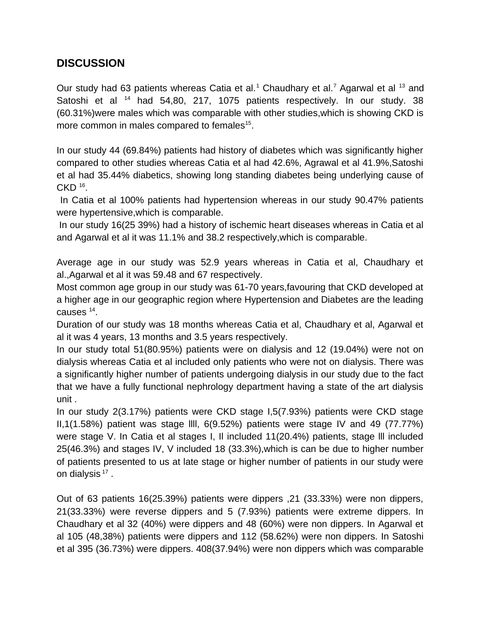# **DISCUSSION**

Our study had 63 patients whereas Catia et al.<sup>1</sup> Chaudhary et al.<sup>7</sup> Agarwal et al  $^{13}$  and Satoshi et al <sup>14</sup> had 54,80, 217, 1075 patients respectively. In our study. 38 (60.31%)were males which was comparable with other studies,which is showing CKD is more common in males compared to females<sup>15</sup>.

In our study 44 (69.84%) patients had history of diabetes which was significantly higher compared to other studies whereas Catia et al had 42.6%, Agrawal et al 41.9%,Satoshi et al had 35.44% diabetics, showing long standing diabetes being underlying cause of  $CKD<sup>16</sup>$ .

 In Catia et al 100% patients had hypertension whereas in our study 90.47% patients were hypertensive,which is comparable.

 In our study 16(25 39%) had a history of ischemic heart diseases whereas in Catia et al and Agarwal et al it was 11.1% and 38.2 respectively,which is comparable.

Average age in our study was 52.9 years whereas in Catia et al, Chaudhary et al.,Agarwal et al it was 59.48 and 67 respectively.

Most common age group in our study was 61-70 years,favouring that CKD developed at a higher age in our geographic region where Hypertension and Diabetes are the leading causes  $^{14}$ .

Duration of our study was 18 months whereas Catia et al, Chaudhary et al, Agarwal et al it was 4 years, 13 months and 3.5 years respectively.

In our study total 51(80.95%) patients were on dialysis and 12 (19.04%) were not on dialysis whereas Catia et al included only patients who were not on dialysis. There was a significantly higher number of patients undergoing dialysis in our study due to the fact that we have a fully functional nephrology department having a state of the art dialysis unit .

In our study 2(3.17%) patients were CKD stage I,5(7.93%) patients were CKD stage  $II,1(1.58%)$  patient was stage IIII, 6(9.52%) patients were stage IV and 49 (77.77%) were stage V. In Catia et al stages I, Il included 11(20.4%) patients, stage lll included 25(46.3%) and stages IV, V included 18 (33.3%),which is can be due to higher number of patients presented to us at late stage or higher number of patients in our study were on dialysis  $^{17}$  .

Out of 63 patients 16(25.39%) patients were dippers ,21 (33.33%) were non dippers, 21(33.33%) were reverse dippers and 5 (7.93%) patients were extreme dippers. In Chaudhary et al 32 (40%) were dippers and 48 (60%) were non dippers. In Agarwal et al 105 (48,38%) patients were dippers and 112 (58.62%) were non dippers. In Satoshi et al 395 (36.73%) were dippers. 408(37.94%) were non dippers which was comparable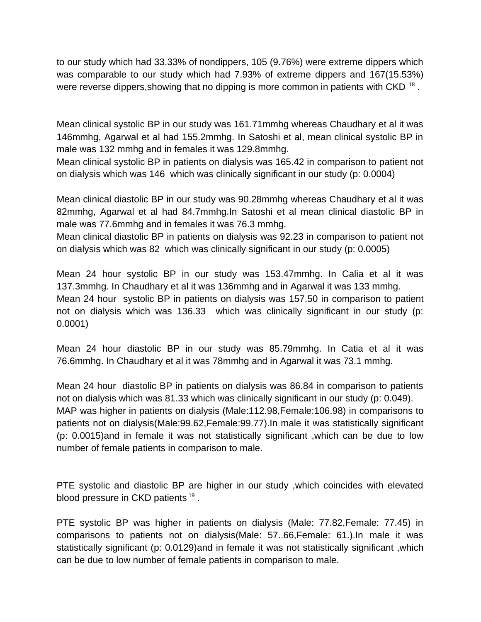to our study which had 33.33% of nondippers, 105 (9.76%) were extreme dippers which was comparable to our study which had 7.93% of extreme dippers and 167(15.53%) were reverse dippers,showing that no dipping is more common in patients with CKD  $^{\rm 18}$  .

Mean clinical systolic BP in our study was 161.71mmhg whereas Chaudhary et al it was 146mmhg, Agarwal et al had 155.2mmhg. In Satoshi et al, mean clinical systolic BP in male was 132 mmhg and in females it was 129.8mmhg.

Mean clinical systolic BP in patients on dialysis was 165.42 in comparison to patient not on dialysis which was 146 which was clinically significant in our study (p: 0.0004)

Mean clinical diastolic BP in our study was 90.28mmhg whereas Chaudhary et al it was 82mmhg, Agarwal et al had 84.7mmhg.In Satoshi et al mean clinical diastolic BP in male was 77.6mmhg and in females it was 76.3 mmhg.

Mean clinical diastolic BP in patients on dialysis was 92.23 in comparison to patient not on dialysis which was 82 which was clinically significant in our study (p: 0.0005)

Mean 24 hour systolic BP in our study was 153.47mmhg. In Calia et al it was 137.3mmhg. In Chaudhary et al it was 136mmhg and in Agarwal it was 133 mmhg. Mean 24 hour systolic BP in patients on dialysis was 157.50 in comparison to patient not on dialysis which was 136.33 which was clinically significant in our study (p: 0.0001)

Mean 24 hour diastolic BP in our study was 85.79mmhg. In Catia et al it was 76.6mmhg. In Chaudhary et al it was 78mmhg and in Agarwal it was 73.1 mmhg.

Mean 24 hour diastolic BP in patients on dialysis was 86.84 in comparison to patients not on dialysis which was 81.33 which was clinically significant in our study (p: 0.049). MAP was higher in patients on dialysis (Male:112.98,Female:106.98) in comparisons to patients not on dialysis(Male:99.62,Female:99.77).In male it was statistically significant (p: 0.0015)and in female it was not statistically significant ,which can be due to low number of female patients in comparison to male.

PTE systolic and diastolic BP are higher in our study ,which coincides with elevated blood pressure in CKD patients  $^{19}$  .

PTE systolic BP was higher in patients on dialysis (Male: 77.82,Female: 77.45) in comparisons to patients not on dialysis(Male: 57..66,Female: 61.).In male it was statistically significant (p: 0.0129)and in female it was not statistically significant ,which can be due to low number of female patients in comparison to male.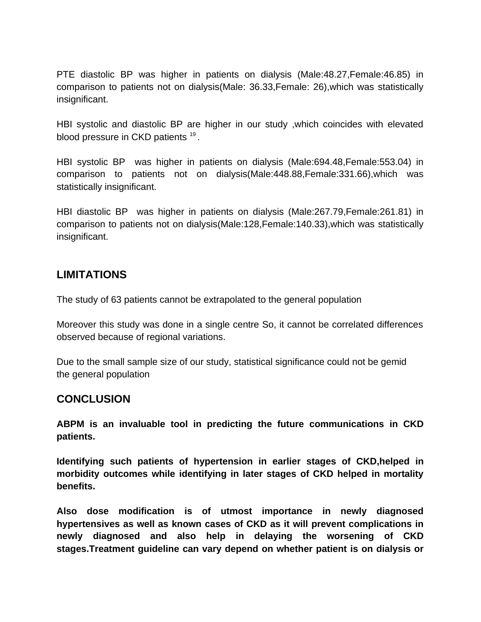PTE diastolic BP was higher in patients on dialysis (Male:48.27,Female:46.85) in comparison to patients not on dialysis(Male: 36.33,Female: 26),which was statistically insignificant.

HBI systolic and diastolic BP are higher in our study ,which coincides with elevated blood pressure in CKD patients  $^{19}$  .

HBI systolic BP was higher in patients on dialysis (Male:694.48,Female:553.04) in comparison to patients not on dialysis(Male:448.88,Female:331.66),which was statistically insignificant.

HBI diastolic BP was higher in patients on dialysis (Male:267.79,Female:261.81) in comparison to patients not on dialysis(Male:128,Female:140.33),which was statistically insignificant.

### **LIMITATIONS**

The study of 63 patients cannot be extrapolated to the general population

Moreover this study was done in a single centre So, it cannot be correlated differences observed because of regional variations.

Due to the small sample size of our study, statistical significance could not be gemid the general population

### **CONCLUSION**

**ABPM is an invaluable tool in predicting the future communications in CKD patients.**

**Identifying such patients of hypertension in earlier stages of CKD,helped in morbidity outcomes while identifying in later stages of CKD helped in mortality benefits.**

**Also dose modification is of utmost importance in newly diagnosed hypertensives as well as known cases of CKD as it will prevent complications in newly diagnosed and also help in delaying the worsening of CKD stages.Treatment guideline can vary depend on whether patient is on dialysis or**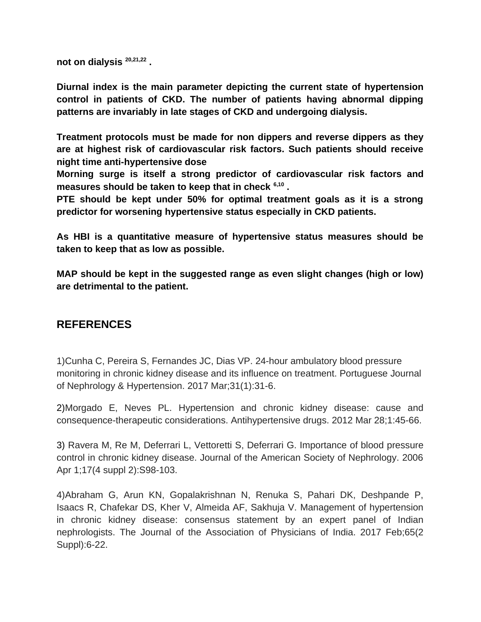**not on dialysis 20,21,22 .**

**Diurnal index is the main parameter depicting the current state of hypertension control in patients of CKD. The number of patients having abnormal dipping patterns are invariably in late stages of CKD and undergoing dialysis.**

**Treatment protocols must be made for non dippers and reverse dippers as they are at highest risk of cardiovascular risk factors. Such patients should receive night time anti-hypertensive dose**

**Morning surge is itself a strong predictor of cardiovascular risk factors and measures should be taken to keep that in check 6,10 .**

**PTE should be kept under 50% for optimal treatment goals as it is a strong predictor for worsening hypertensive status especially in CKD patients.**

**As HBI is a quantitative measure of hypertensive status measures should be taken to keep that as low as possible.**

**MAP should be kept in the suggested range as even slight changes (high or low) are detrimental to the patient.**

### **REFERENCES**

1)Cunha C, Pereira S, Fernandes JC, Dias VP. 24-hour ambulatory blood pressure monitoring in chronic kidney disease and its influence on treatment. Portuguese Journal of Nephrology & Hypertension. 2017 Mar;31(1):31-6.

2)Morgado E, Neves PL. Hypertension and chronic kidney disease: cause and consequence-therapeutic considerations. Antihypertensive drugs. 2012 Mar 28;1:45-66.

3) Ravera M, Re M, Deferrari L, Vettoretti S, Deferrari G. Importance of blood pressure control in chronic kidney disease. Journal of the American Society of Nephrology. 2006 Apr 1;17(4 suppl 2):S98-103.

4)Abraham G, Arun KN, Gopalakrishnan N, Renuka S, Pahari DK, Deshpande P, Isaacs R, Chafekar DS, Kher V, Almeida AF, Sakhuja V. Management of hypertension in chronic kidney disease: consensus statement by an expert panel of Indian nephrologists. The Journal of the Association of Physicians of India. 2017 Feb;65(2 Suppl):6-22.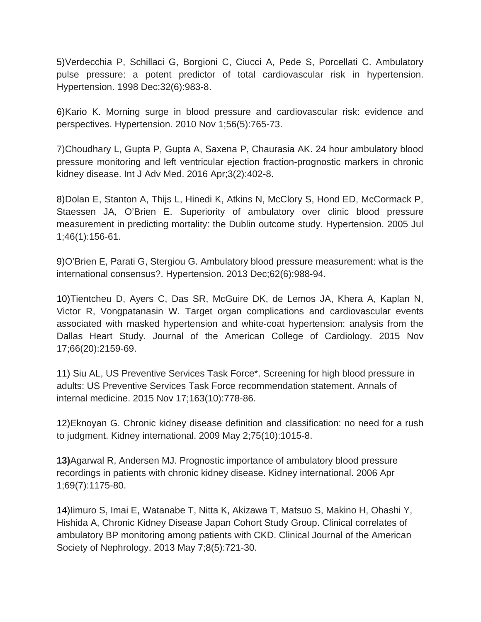5)Verdecchia P, Schillaci G, Borgioni C, Ciucci A, Pede S, Porcellati C. Ambulatory pulse pressure: a potent predictor of total cardiovascular risk in hypertension. Hypertension. 1998 Dec;32(6):983-8.

6)Kario K. Morning surge in blood pressure and cardiovascular risk: evidence and perspectives. Hypertension. 2010 Nov 1;56(5):765-73.

7)Choudhary L, Gupta P, Gupta A, Saxena P, Chaurasia AK. 24 hour ambulatory blood pressure monitoring and left ventricular ejection fraction-prognostic markers in chronic kidney disease. Int J Adv Med. 2016 Apr;3(2):402-8.

8)Dolan E, Stanton A, Thijs L, Hinedi K, Atkins N, McClory S, Hond ED, McCormack P, Staessen JA, O'Brien E. Superiority of ambulatory over clinic blood pressure measurement in predicting mortality: the Dublin outcome study. Hypertension. 2005 Jul 1;46(1):156-61.

9)O'Brien E, Parati G, Stergiou G. Ambulatory blood pressure measurement: what is the international consensus?. Hypertension. 2013 Dec;62(6):988-94.

10)Tientcheu D, Ayers C, Das SR, McGuire DK, de Lemos JA, Khera A, Kaplan N, Victor R, Vongpatanasin W. Target organ complications and cardiovascular events associated with masked hypertension and white-coat hypertension: analysis from the Dallas Heart Study. Journal of the American College of Cardiology. 2015 Nov 17;66(20):2159-69.

11) Siu AL, US Preventive Services Task Force\*. Screening for high blood pressure in adults: US Preventive Services Task Force recommendation statement. Annals of internal medicine. 2015 Nov 17;163(10):778-86.

12)Eknoyan G. Chronic kidney disease definition and classification: no need for a rush to judgment. Kidney international. 2009 May 2;75(10):1015-8.

**13)**Agarwal R, Andersen MJ. Prognostic importance of ambulatory blood pressure recordings in patients with chronic kidney disease. Kidney international. 2006 Apr 1;69(7):1175-80.

14)Iimuro S, Imai E, Watanabe T, Nitta K, Akizawa T, Matsuo S, Makino H, Ohashi Y, Hishida A, Chronic Kidney Disease Japan Cohort Study Group. Clinical correlates of ambulatory BP monitoring among patients with CKD. Clinical Journal of the American Society of Nephrology. 2013 May 7;8(5):721-30.